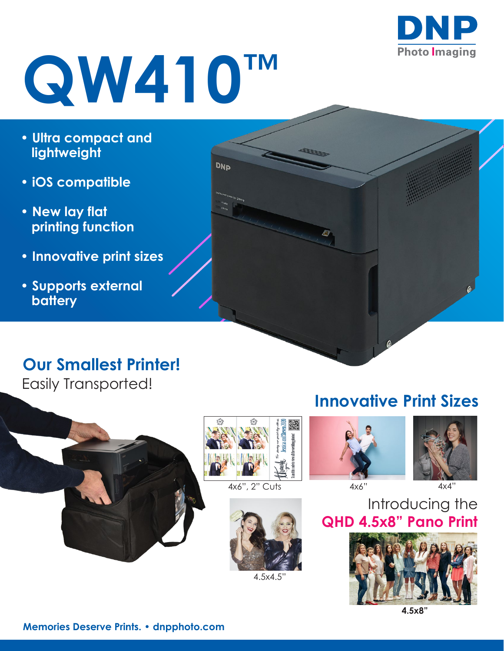

# **QW410™**

- **Ultra compact and lightweight**
- **iOS compatible**
- **New lay flat printing function**
- **Innovative print sizes**
- **Supports external battery**

### **Our Smallest Printer!**

Easily Transported!





**DNP** 



4.5x4.5"

### **Innovative Print Sizes**



园



Introducing the **QHD 4.5x8" Pano Print**



**4.5x8"**